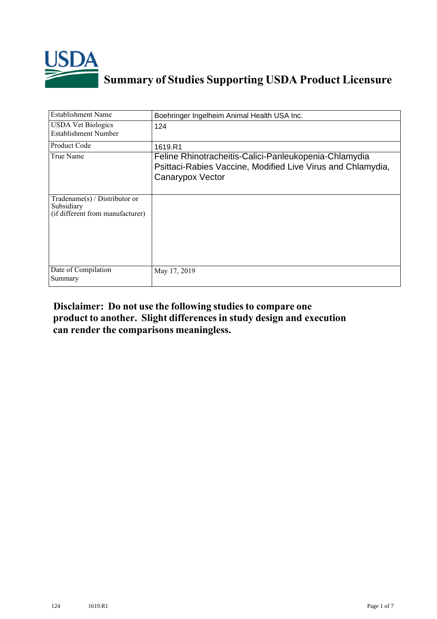

## **Summary of Studies Supporting USDA Product Licensure**

| <b>Establishment Name</b>                                                         | Boehringer Ingelheim Animal Health USA Inc.                                                                                              |
|-----------------------------------------------------------------------------------|------------------------------------------------------------------------------------------------------------------------------------------|
| <b>USDA Vet Biologics</b><br><b>Establishment Number</b>                          | 124                                                                                                                                      |
| Product Code                                                                      | 1619.R1                                                                                                                                  |
| True Name                                                                         | Feline Rhinotracheitis-Calici-Panleukopenia-Chlamydia<br>Psittaci-Rabies Vaccine, Modified Live Virus and Chlamydia,<br>Canarypox Vector |
| $Tradename(s) / Distributor$ or<br>Subsidiary<br>(if different from manufacturer) |                                                                                                                                          |
| Date of Compilation<br>Summary                                                    | May 17, 2019                                                                                                                             |

## **Disclaimer: Do not use the following studiesto compare one product to another. Slight differencesin study design and execution can render the comparisons meaningless.**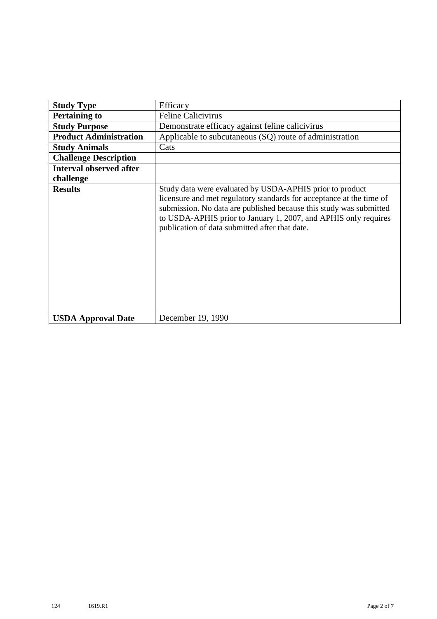| <b>Study Type</b>              | Efficacy                                                                                                                                                                                                                                                                                                                    |
|--------------------------------|-----------------------------------------------------------------------------------------------------------------------------------------------------------------------------------------------------------------------------------------------------------------------------------------------------------------------------|
| <b>Pertaining to</b>           | <b>Feline Calicivirus</b>                                                                                                                                                                                                                                                                                                   |
|                                |                                                                                                                                                                                                                                                                                                                             |
| <b>Study Purpose</b>           | Demonstrate efficacy against feline calicivirus                                                                                                                                                                                                                                                                             |
| <b>Product Administration</b>  | Applicable to subcutaneous (SQ) route of administration                                                                                                                                                                                                                                                                     |
| <b>Study Animals</b>           | Cats                                                                                                                                                                                                                                                                                                                        |
| <b>Challenge Description</b>   |                                                                                                                                                                                                                                                                                                                             |
| <b>Interval observed after</b> |                                                                                                                                                                                                                                                                                                                             |
| challenge                      |                                                                                                                                                                                                                                                                                                                             |
| <b>Results</b>                 | Study data were evaluated by USDA-APHIS prior to product<br>licensure and met regulatory standards for acceptance at the time of<br>submission. No data are published because this study was submitted<br>to USDA-APHIS prior to January 1, 2007, and APHIS only requires<br>publication of data submitted after that date. |
| <b>USDA Approval Date</b>      | December 19, 1990                                                                                                                                                                                                                                                                                                           |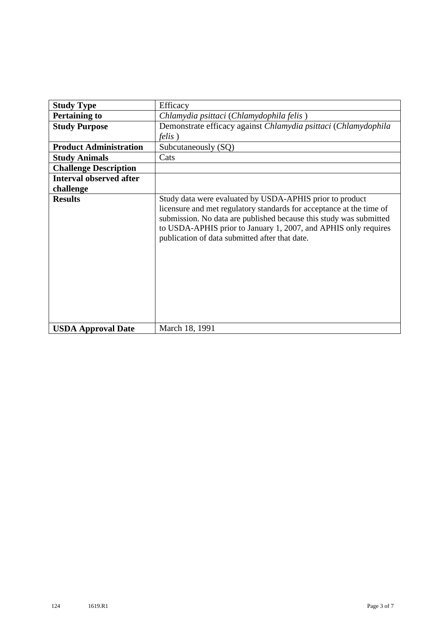| <b>Study Type</b>              | Efficacy                                                                                                                                                                                                                                                                                                                    |
|--------------------------------|-----------------------------------------------------------------------------------------------------------------------------------------------------------------------------------------------------------------------------------------------------------------------------------------------------------------------------|
| <b>Pertaining to</b>           | Chlamydia psittaci (Chlamydophila felis)                                                                                                                                                                                                                                                                                    |
| <b>Study Purpose</b>           | Demonstrate efficacy against Chlamydia psittaci (Chlamydophila                                                                                                                                                                                                                                                              |
|                                | <i>felis</i> )                                                                                                                                                                                                                                                                                                              |
| <b>Product Administration</b>  | Subcutaneously (SQ)                                                                                                                                                                                                                                                                                                         |
| <b>Study Animals</b>           | Cats                                                                                                                                                                                                                                                                                                                        |
| <b>Challenge Description</b>   |                                                                                                                                                                                                                                                                                                                             |
| <b>Interval observed after</b> |                                                                                                                                                                                                                                                                                                                             |
| challenge                      |                                                                                                                                                                                                                                                                                                                             |
| <b>Results</b>                 | Study data were evaluated by USDA-APHIS prior to product<br>licensure and met regulatory standards for acceptance at the time of<br>submission. No data are published because this study was submitted<br>to USDA-APHIS prior to January 1, 2007, and APHIS only requires<br>publication of data submitted after that date. |
| <b>USDA Approval Date</b>      | March 18, 1991                                                                                                                                                                                                                                                                                                              |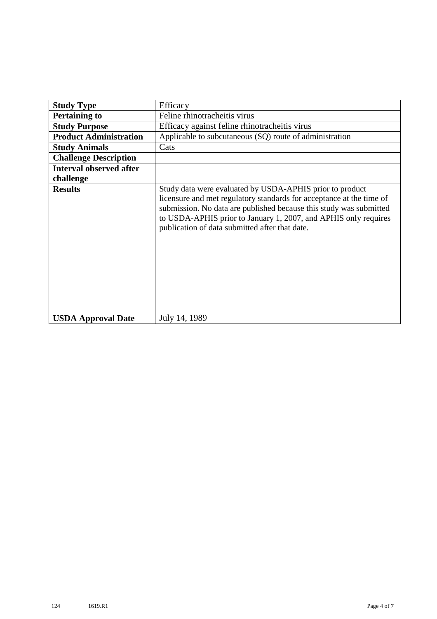| <b>Study Type</b>              | Efficacy                                                                                                                                                                                                                                                                                                                    |
|--------------------------------|-----------------------------------------------------------------------------------------------------------------------------------------------------------------------------------------------------------------------------------------------------------------------------------------------------------------------------|
|                                |                                                                                                                                                                                                                                                                                                                             |
| <b>Pertaining to</b>           | Feline rhinotracheitis virus                                                                                                                                                                                                                                                                                                |
| <b>Study Purpose</b>           | Efficacy against feline rhinotracheitis virus                                                                                                                                                                                                                                                                               |
| <b>Product Administration</b>  | Applicable to subcutaneous (SQ) route of administration                                                                                                                                                                                                                                                                     |
| <b>Study Animals</b>           | Cats                                                                                                                                                                                                                                                                                                                        |
| <b>Challenge Description</b>   |                                                                                                                                                                                                                                                                                                                             |
| <b>Interval observed after</b> |                                                                                                                                                                                                                                                                                                                             |
| challenge                      |                                                                                                                                                                                                                                                                                                                             |
| <b>Results</b>                 | Study data were evaluated by USDA-APHIS prior to product<br>licensure and met regulatory standards for acceptance at the time of<br>submission. No data are published because this study was submitted<br>to USDA-APHIS prior to January 1, 2007, and APHIS only requires<br>publication of data submitted after that date. |
| <b>USDA Approval Date</b>      | July 14, 1989                                                                                                                                                                                                                                                                                                               |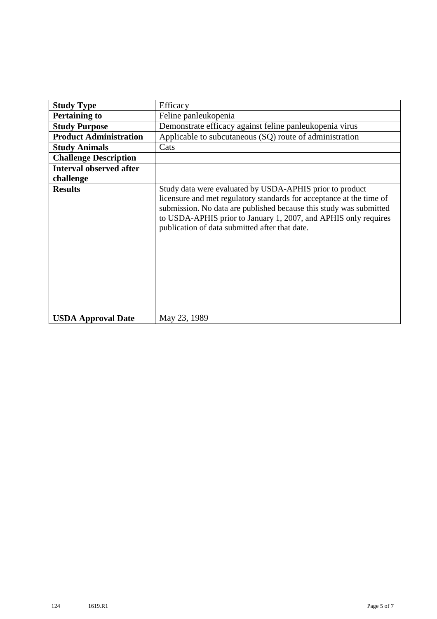| <b>Study Type</b>              | Efficacy                                                                                                                                                                                                                                                                                                                    |
|--------------------------------|-----------------------------------------------------------------------------------------------------------------------------------------------------------------------------------------------------------------------------------------------------------------------------------------------------------------------------|
| <b>Pertaining to</b>           | Feline panleukopenia                                                                                                                                                                                                                                                                                                        |
| <b>Study Purpose</b>           | Demonstrate efficacy against feline panleukopenia virus                                                                                                                                                                                                                                                                     |
| <b>Product Administration</b>  | Applicable to subcutaneous (SQ) route of administration                                                                                                                                                                                                                                                                     |
| <b>Study Animals</b>           | Cats                                                                                                                                                                                                                                                                                                                        |
| <b>Challenge Description</b>   |                                                                                                                                                                                                                                                                                                                             |
| <b>Interval observed after</b> |                                                                                                                                                                                                                                                                                                                             |
| challenge                      |                                                                                                                                                                                                                                                                                                                             |
| <b>Results</b>                 | Study data were evaluated by USDA-APHIS prior to product<br>licensure and met regulatory standards for acceptance at the time of<br>submission. No data are published because this study was submitted<br>to USDA-APHIS prior to January 1, 2007, and APHIS only requires<br>publication of data submitted after that date. |
| <b>USDA Approval Date</b>      | May 23, 1989                                                                                                                                                                                                                                                                                                                |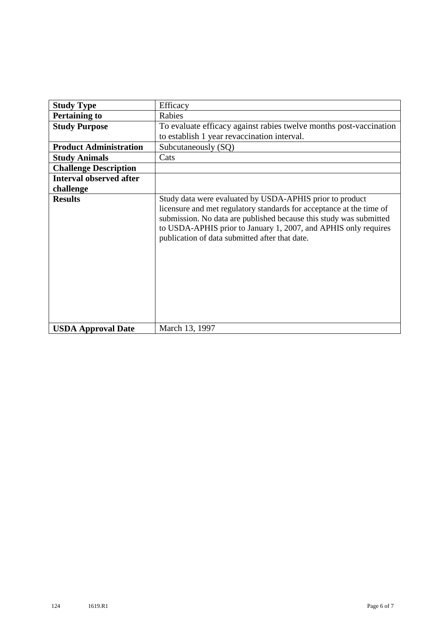| <b>Study Type</b>              | Efficacy                                                                                                                                                                                                                                                                                                                    |
|--------------------------------|-----------------------------------------------------------------------------------------------------------------------------------------------------------------------------------------------------------------------------------------------------------------------------------------------------------------------------|
| <b>Pertaining to</b>           | Rabies                                                                                                                                                                                                                                                                                                                      |
| <b>Study Purpose</b>           | To evaluate efficacy against rabies twelve months post-vaccination                                                                                                                                                                                                                                                          |
|                                | to establish 1 year revaccination interval.                                                                                                                                                                                                                                                                                 |
| <b>Product Administration</b>  | Subcutaneously (SQ)                                                                                                                                                                                                                                                                                                         |
| <b>Study Animals</b>           | Cats                                                                                                                                                                                                                                                                                                                        |
| <b>Challenge Description</b>   |                                                                                                                                                                                                                                                                                                                             |
| <b>Interval observed after</b> |                                                                                                                                                                                                                                                                                                                             |
| challenge                      |                                                                                                                                                                                                                                                                                                                             |
| <b>Results</b>                 | Study data were evaluated by USDA-APHIS prior to product<br>licensure and met regulatory standards for acceptance at the time of<br>submission. No data are published because this study was submitted<br>to USDA-APHIS prior to January 1, 2007, and APHIS only requires<br>publication of data submitted after that date. |
| <b>USDA Approval Date</b>      | March 13, 1997                                                                                                                                                                                                                                                                                                              |